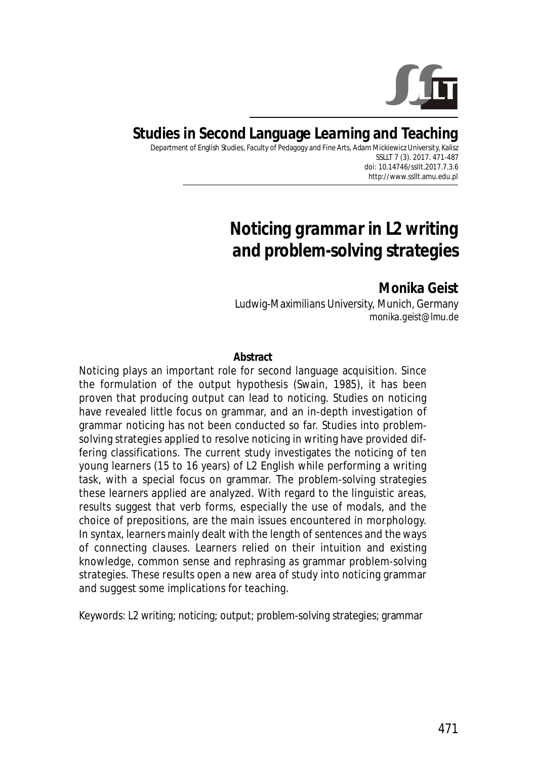

# **Studies in Second Language Learning and Teaching**

Department of English Studies, Faculty of Pedagogy and Fine Arts, Adam Mickiewicz University, Kalisz SSLLT 7 (3). 2017. 471-487 *doi: 10.14746/ssllt.2017.7.3.6* http://www.ssllt.amu.edu.pl

# *Noticing grammar in L2 writing and problem-solving strategies*

**Monika Geist** Ludwig-Maximilians University, Munich, Germany *monika.geist@lmu.de*

#### **Abstract**

Noticing plays an important role for second language acquisition. Since the formulation of the output hypothesis (Swain, 1985), it has been proven that producing output can lead to noticing. Studies on noticing have revealed little focus on grammar, and an in-depth investigation of grammar noticing has not been conducted so far. Studies into problemsolving strategies applied to resolve noticing in writing have provided differing classifications. The current study investigates the noticing of ten young learners (15 to 16 years) of L2 English while performing a writing task, with a special focus on grammar. The problem-solving strategies these learners applied are analyzed. With regard to the linguistic areas, results suggest that verb forms, especially the use of modals, and the choice of prepositions, are the main issues encountered in morphology. In syntax, learners mainly dealt with the length of sentences and the ways of connecting clauses. Learners relied on their intuition and existing knowledge, common sense and rephrasing as grammar problem-solving strategies. These results open a new area of study into noticing grammar and suggest some implications for teaching.

*Keywords*: L2 writing; noticing; output; problem-solving strategies; grammar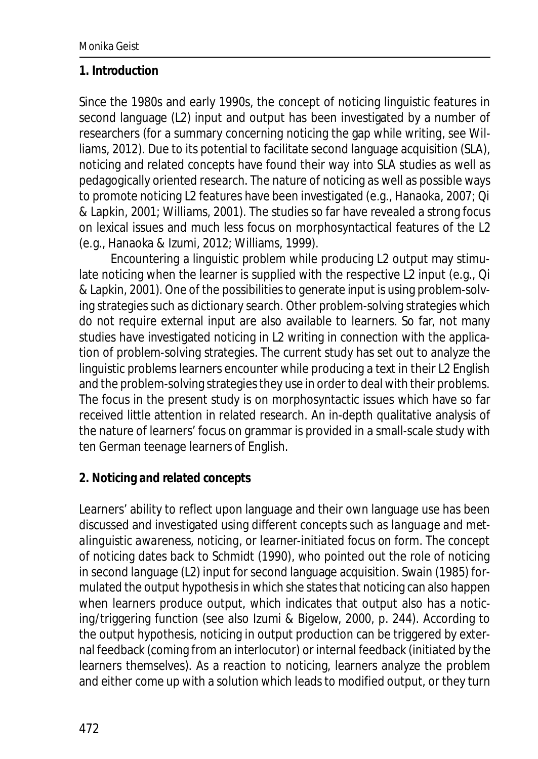#### **1. Introduction**

Since the 1980s and early 1990s, the concept of noticing linguistic features in second language (L2) input and output has been investigated by a number of researchers (for a summary concerning noticing the gap while writing, see Williams, 2012). Due to its potential to facilitate second language acquisition (SLA), noticing and related concepts have found their way into SLA studies as well as pedagogically oriented research. The nature of noticing as well as possible ways to promote noticing L2 features have been investigated (e.g., Hanaoka, 2007; Qi & Lapkin, 2001; Williams, 2001). The studies so far have revealed a strong focus on lexical issues and much less focus on morphosyntactical features of the L2 (e.g., Hanaoka & Izumi, 2012; Williams, 1999).

Encountering a linguistic problem while producing L2 output may stimulate noticing when the learner is supplied with the respective L2 input (e.g., Qi & Lapkin, 2001). One of the possibilities to generate input is using problem-solving strategies such as dictionary search. Other problem-solving strategies which do not require external input are also available to learners. So far, not many studies have investigated noticing in L2 writing in connection with the application of problem-solving strategies. The current study has set out to analyze the linguistic problems learners encounter while producing a text in their L2 English and the problem-solving strategies they use in order to deal with their problems. The focus in the present study is on morphosyntactic issues which have so far received little attention in related research. An in-depth qualitative analysis of the nature of learners' focus on grammar is provided in a small-scale study with ten German teenage learners of English.

## **2. Noticing and related concepts**

Learners' ability to reflect upon language and their own language use has been discussed and investigated using different concepts such as *language and metalinguistic awareness*, *noticing*, or *learner-initiated focus on form*. The concept of noticing dates back to Schmidt (1990), who pointed out the role of noticing in second language (L2) input for second language acquisition. Swain (1985) formulated the output hypothesis in which she states that noticing can also happen when learners produce output, which indicates that output also has a noticing/triggering function (see also Izumi & Bigelow, 2000, p. 244). According to the output hypothesis, noticing in output production can be triggered by external feedback (coming from an interlocutor) or internal feedback (initiated by the learners themselves). As a reaction to noticing, learners analyze the problem and either come up with a solution which leads to modified output, or they turn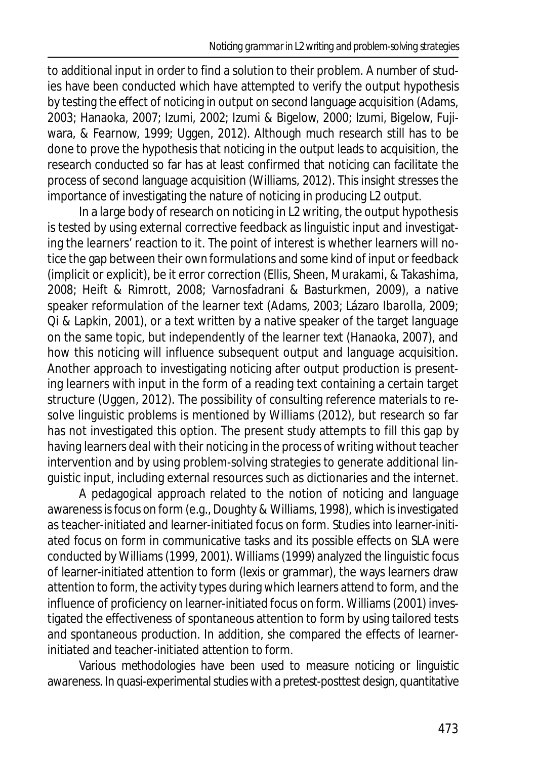to additional input in order to find a solution to their problem. A number of studies have been conducted which have attempted to verify the output hypothesis by testing the effect of noticing in output on second language acquisition (Adams, 2003; Hanaoka, 2007; Izumi, 2002; Izumi & Bigelow, 2000; Izumi, Bigelow, Fujiwara, & Fearnow, 1999; Uggen, 2012). Although much research still has to be done to prove the hypothesis that noticing in the output leads to acquisition, the research conducted so far has at least confirmed that noticing can facilitate the process of second language acquisition (Williams, 2012). This insight stresses the importance of investigating the nature of noticing in producing L2 output.

In a large body of research on noticing in L2 writing, the output hypothesis is tested by using external corrective feedback as linguistic input and investigating the learners' reaction to it. The point of interest is whether learners will notice the gap between their own formulations and some kind of input or feedback (implicit or explicit), be it error correction (Ellis, Sheen, Murakami, & Takashima, 2008; Heift & Rimrott, 2008; Varnosfadrani & Basturkmen, 2009), a native speaker reformulation of the learner text (Adams, 2003; Lázaro Ibarolla, 2009; Qi & Lapkin, 2001), or a text written by a native speaker of the target language on the same topic, but independently of the learner text (Hanaoka, 2007), and how this noticing will influence subsequent output and language acquisition. Another approach to investigating noticing after output production is presenting learners with input in the form of a reading text containing a certain target structure (Uggen, 2012). The possibility of consulting reference materials to resolve linguistic problems is mentioned by Williams (2012), but research so far has not investigated this option. The present study attempts to fill this gap by having learners deal with their noticing in the process of writing without teacher intervention and by using problem-solving strategies to generate additional linguistic input, including external resources such as dictionaries and the internet.

A pedagogical approach related to the notion of noticing and language awareness is*focus on form* (e.g., Doughty & Williams, 1998), which is investigated as teacher-initiated and learner-initiated focus on form. Studies into learner-initiated focus on form in communicative tasks and its possible effects on SLA were conducted by Williams (1999, 2001). Williams (1999) analyzed the linguistic focus of learner-initiated attention to form (lexis or grammar), the ways learners draw attention to form, the activity types during which learners attend to form, and the influence of proficiency on learner-initiated focus on form. Williams (2001) investigated the effectiveness of spontaneous attention to form by using tailored tests and spontaneous production. In addition, she compared the effects of learnerinitiated and teacher-initiated attention to form.

Various methodologies have been used to measure noticing or linguistic awareness. In quasi-experimental studies with a pretest-posttest design, quantitative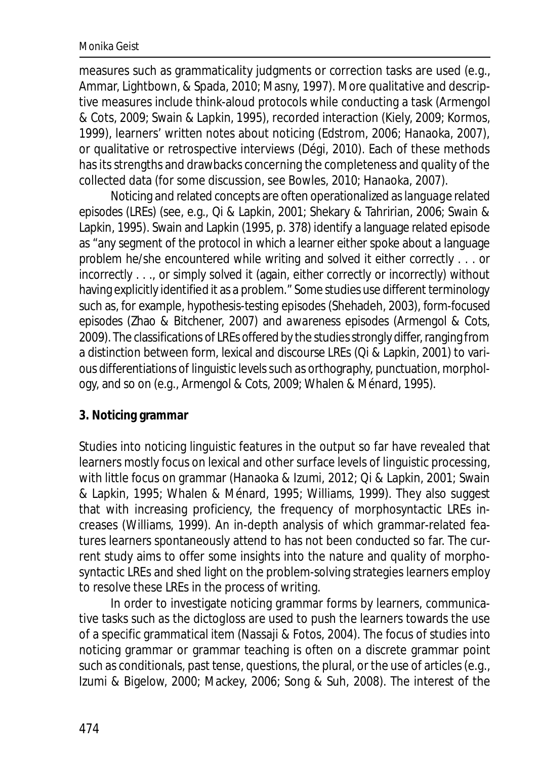measures such as grammaticality judgments or correction tasks are used (e.g., Ammar, Lightbown, & Spada, 2010; Masny, 1997). More qualitative and descriptive measures include think-aloud protocols while conducting a task (Armengol & Cots, 2009; Swain & Lapkin, 1995), recorded interaction (Kiely, 2009; Kormos, 1999), learners' written notes about noticing (Edstrom, 2006; Hanaoka, 2007), or qualitative or retrospective interviews (Dégi, 2010). Each of these methods has its strengths and drawbacks concerning the completeness and quality of the collected data (for some discussion, see Bowles, 2010; Hanaoka, 2007).

Noticing and related concepts are often operationalized as*language related episodes* (LREs) (see, e.g., Qi & Lapkin, 2001; Shekary & Tahririan, 2006; Swain & Lapkin, 1995). Swain and Lapkin (1995, p. 378) identify a language related episode as "any segment of the protocol in which a learner either spoke about a language problem he/she encountered while writing and solved it either correctly . . . or incorrectly . . ., or simply solved it (again, either correctly or incorrectly) without having explicitly identified it as a problem." Some studies use different terminology such as, for example, *hypothesis-testing episodes* (Shehadeh, 2003), *form-focused episodes* (Zhao & Bitchener, 2007) and *awareness episodes* (Armengol & Cots, 2009). The classifications of LREs offered by the studies strongly differ, ranging from a distinction between form, lexical and discourse LREs (Qi & Lapkin, 2001) to various differentiations of linguistic levels such as orthography, punctuation, morphology, and so on (e.g., Armengol & Cots, 2009; Whalen & Ménard, 1995).

## **3. Noticing grammar**

Studies into noticing linguistic features in the output so far have revealed that learners mostly focus on lexical and other surface levels of linguistic processing, with little focus on grammar (Hanaoka & Izumi, 2012; Qi & Lapkin, 2001; Swain & Lapkin, 1995; Whalen & Ménard, 1995; Williams, 1999). They also suggest that with increasing proficiency, the frequency of morphosyntactic LREs increases (Williams, 1999). An in-depth analysis of which grammar-related features learners spontaneously attend to has not been conducted so far. The current study aims to offer some insights into the nature and quality of morphosyntactic LREs and shed light on the problem-solving strategies learners employ to resolve these LREs in the process of writing.

In order to investigate noticing grammar forms by learners, communicative tasks such as the *dictogloss* are used to push the learners towards the use of a specific grammatical item (Nassaji & Fotos, 2004). The focus of studies into noticing grammar or grammar teaching is often on a discrete grammar point such as conditionals, past tense, questions, the plural, or the use of articles (e.g., Izumi & Bigelow, 2000; Mackey, 2006; Song & Suh, 2008). The interest of the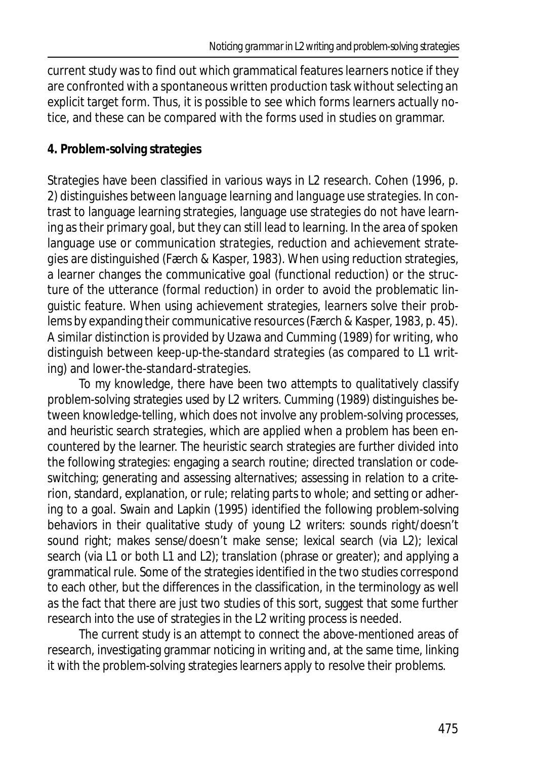current study was to find out which grammatical features learners notice if they are confronted with a spontaneous written production task without selecting an explicit target form. Thus, it is possible to see which forms learners actually notice, and these can be compared with the forms used in studies on grammar.

## **4. Problem-solving strategies**

Strategies have been classified in various ways in L2 research. Cohen (1996, p. 2) distinguishes between *language learning* and *language use strategies*. In contrast to language learning strategies, language use strategies do not have learning as their primary goal, but they can still lead to learning. In the area of spoken language use or *communication strategies*, *reduction* and *achievement strategies* are distinguished (Færch & Kasper, 1983). When using reduction strategies, a learner changes the communicative goal (functional reduction) or the structure of the utterance (formal reduction) in order to avoid the problematic linguistic feature. When using achievement strategies, learners solve their problems by expanding their communicative resources (Færch & Kasper, 1983, p. 45). A similar distinction is provided by Uzawa and Cumming (1989) for writing, who distinguish between *keep-up-the-standard strategies* (as compared to L1 writing) and *lower-the-standard-strategies*.

To my knowledge, there have been two attempts to qualitatively classify problem-solving strategies used by L2 writers. Cumming (1989) distinguishes between *knowledge-telling*, which does not involve any problem-solving processes, and *heuristic search strategies*, which are applied when a problem has been encountered by the learner. The heuristic search strategies are further divided into the following strategies: engaging a search routine; directed translation or codeswitching; generating and assessing alternatives; assessing in relation to a criterion, standard, explanation, or rule; relating parts to whole; and setting or adhering to a goal. Swain and Lapkin (1995) identified the following problem-solving behaviors in their qualitative study of young L2 writers: sounds right/doesn't sound right; makes sense/doesn't make sense; lexical search (via L2); lexical search (via L1 or both L1 and L2); translation (phrase or greater); and applying a grammatical rule. Some of the strategies identified in the two studies correspond to each other, but the differences in the classification, in the terminology as well as the fact that there are just two studies of this sort, suggest that some further research into the use of strategies in the L2 writing process is needed.

The current study is an attempt to connect the above-mentioned areas of research, investigating grammar noticing in writing and, at the same time, linking it with the problem-solving strategies learners apply to resolve their problems.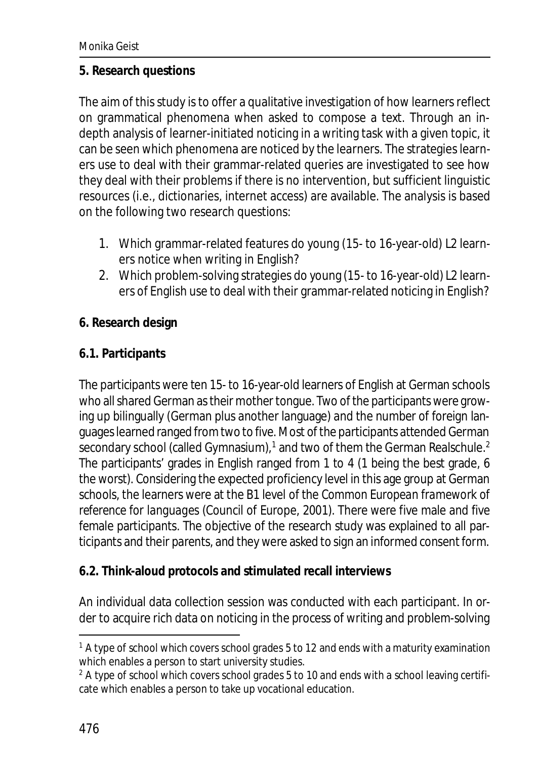#### **5. Research questions**

The aim of this study is to offer a qualitative investigation of how learners reflect on grammatical phenomena when asked to compose a text. Through an indepth analysis of learner-initiated noticing in a writing task with a given topic, it can be seen which phenomena are noticed by the learners. The strategies learners use to deal with their grammar-related queries are investigated to see how they deal with their problems if there is no intervention, but sufficient linguistic resources (i.e., dictionaries, internet access) are available. The analysis is based on the following two research questions:

- 1. Which grammar-related features do young (15- to 16-year-old) L2 learners notice when writing in English?
- 2. Which problem-solving strategies do young (15- to 16-year-old) L2 learners of English use to deal with their grammar-related noticing in English?

## **6. Research design**

## **6.1. Participants**

The participants were ten 15- to 16-year-old learners of English at German schools who all shared German as their mother tongue. Two of the participants were growing up bilingually (German plus another language) and the number of foreign languages learned ranged from two to five. Most of the participants attended German secondary school (called Gymnasium), $^1$  and two of them the German Realschule. $^2$ The participants' grades in English ranged from 1 to 4 (1 being the best grade, 6 the worst). Considering the expected proficiency level in this age group at German schools, the learners were at the B1 level of the *Common European framework of reference for languages* (Council of Europe, 2001). There were five male and five female participants. The objective of the research study was explained to all participants and their parents, and they were asked to sign an informed consent form.

## **6.2. Think-aloud protocols and stimulated recall interviews**

An individual data collection session was conducted with each participant. In order to acquire rich data on noticing in the process of writing and problem-solving

 $^{\text{1}}$  A type of school which covers school grades 5 to 12 and ends with a maturity examination which enables a person to start university studies.

 $2$  A type of school which covers school grades 5 to 10 and ends with a school leaving certificate which enables a person to take up vocational education.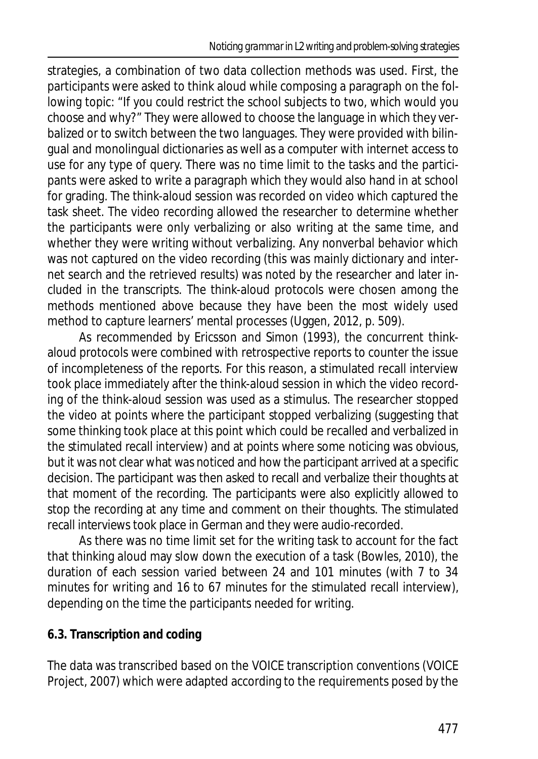strategies, a combination of two data collection methods was used. First, the participants were asked to think aloud while composing a paragraph on the following topic: "If you could restrict the school subjects to two, which would you choose and why?" They were allowed to choose the language in which they verbalized or to switch between the two languages. They were provided with bilingual and monolingual dictionaries as well as a computer with internet access to use for any type of query. There was no time limit to the tasks and the participants were asked to write a paragraph which they would also hand in at school for grading. The think-aloud session was recorded on video which captured the task sheet. The video recording allowed the researcher to determine whether the participants were only verbalizing or also writing at the same time, and whether they were writing without verbalizing. Any nonverbal behavior which was not captured on the video recording (this was mainly dictionary and internet search and the retrieved results) was noted by the researcher and later included in the transcripts. The think-aloud protocols were chosen among the methods mentioned above because they have been the most widely used method to capture learners' mental processes (Uggen, 2012, p. 509).

As recommended by Ericsson and Simon (1993), the concurrent thinkaloud protocols were combined with retrospective reports to counter the issue of incompleteness of the reports. For this reason, a stimulated recall interview took place immediately after the think-aloud session in which the video recording of the think-aloud session was used as a stimulus. The researcher stopped the video at points where the participant stopped verbalizing (suggesting that some thinking took place at this point which could be recalled and verbalized in the stimulated recall interview) and at points where some noticing was obvious, but it was not clear what was noticed and how the participant arrived at a specific decision. The participant was then asked to recall and verbalize their thoughts at that moment of the recording. The participants were also explicitly allowed to stop the recording at any time and comment on their thoughts. The stimulated recall interviews took place in German and they were audio-recorded.

As there was no time limit set for the writing task to account for the fact that thinking aloud may slow down the execution of a task (Bowles, 2010), the duration of each session varied between 24 and 101 minutes (with 7 to 34 minutes for writing and 16 to 67 minutes for the stimulated recall interview), depending on the time the participants needed for writing.

# **6.3. Transcription and coding**

The data was transcribed based on the VOICE transcription conventions (VOICE Project, 2007) which were adapted according to the requirements posed by the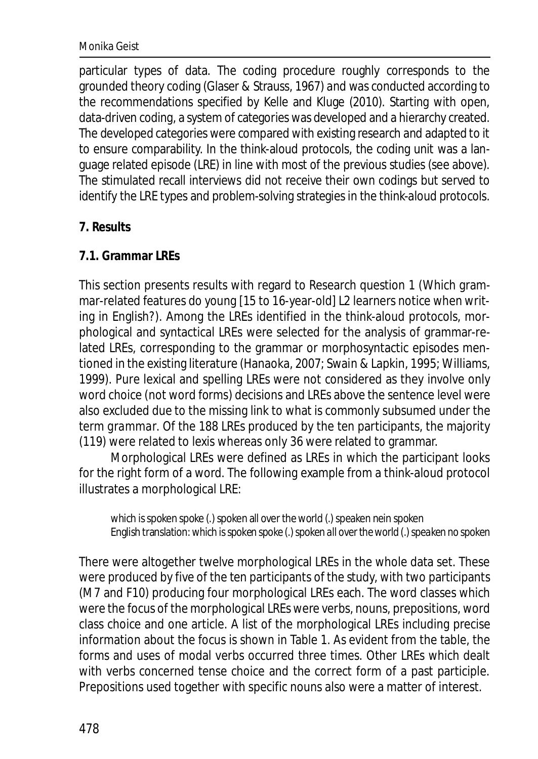#### Monika Geist

particular types of data. The coding procedure roughly corresponds to the grounded theory coding (Glaser & Strauss, 1967) and was conducted according to the recommendations specified by Kelle and Kluge (2010). Starting with open, data-driven coding, a system of categories was developed and a hierarchy created. The developed categories were compared with existing research and adapted to it to ensure comparability. In the think-aloud protocols, the coding unit was a language related episode (LRE) in line with most of the previous studies (see above). The stimulated recall interviews did not receive their own codings but served to identify the LRE types and problem-solving strategies in the think-aloud protocols.

#### **7. Results**

## **7.1. Grammar LREs**

This section presents results with regard to Research question 1 (Which grammar-related features do young [15 to 16-year-old] L2 learners notice when writing in English?). Among the LREs identified in the think-aloud protocols, morphological and syntactical LREs were selected for the analysis of grammar-related LREs, corresponding to the grammar or morphosyntactic episodes mentioned in the existing literature (Hanaoka, 2007; Swain & Lapkin, 1995; Williams, 1999). Pure lexical and spelling LREs were not considered as they involve only word choice (not word forms) decisions and LREs above the sentence level were also excluded due to the missing link to what is commonly subsumed under the term *grammar*. Of the 188 LREs produced by the ten participants, the majority (119) were related to lexis whereas only 36 were related to grammar.

Morphological LREs were defined as LREs in which the participant looks for the right form of a word. The following example from a think-aloud protocol illustrates a morphological LRE:

which is spoken spoke (.) spoken all over the world (.) speaken nein spoken English translation:*which is spoken spoke (.) spoken all over the world (.) speaken no spoken*

There were altogether twelve morphological LREs in the whole data set. These were produced by five of the ten participants of the study, with two participants (M7 and F10) producing four morphological LREs each. The word classes which were the focus of the morphological LREs were verbs, nouns, prepositions, word class choice and one article. A list of the morphological LREs including precise information about the focus is shown in Table 1. As evident from the table, the forms and uses of modal verbs occurred three times. Other LREs which dealt with verbs concerned tense choice and the correct form of a past participle. Prepositions used together with specific nouns also were a matter of interest.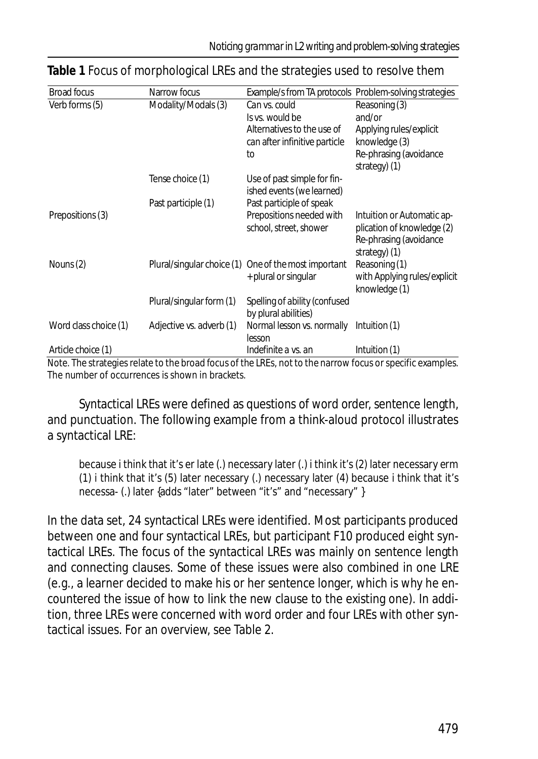| <b>Broad focus</b>                                                  | Narrow focus             | Example/s from TA protocols Problem-solving strategies |                                 |
|---------------------------------------------------------------------|--------------------------|--------------------------------------------------------|---------------------------------|
| Verb forms (5)                                                      | Modality/Modals (3)      | Can vs. could                                          | Reasoning (3)                   |
|                                                                     |                          | Is vs. would be                                        | and/or                          |
|                                                                     |                          | Alternatives to the use of                             | Applying rules/explicit         |
|                                                                     |                          | can after infinitive particle                          | knowledge (3)                   |
|                                                                     |                          | to                                                     | Re-phrasing (avoidance          |
|                                                                     |                          |                                                        | strategy) (1)                   |
|                                                                     | Tense choice (1)         | Use of past simple for fin-                            |                                 |
|                                                                     |                          | ished events (we learned)                              |                                 |
|                                                                     | Past participle (1)      | Past participle of speak                               |                                 |
| Prepositions (3)                                                    |                          | Prepositions needed with                               | Intuition or Automatic ap-      |
|                                                                     |                          | school, street, shower                                 | plication of knowledge (2)      |
|                                                                     |                          |                                                        | Re-phrasing (avoidance          |
|                                                                     |                          |                                                        | strategy) (1)                   |
| Nouns (2)                                                           |                          | Plural/singular choice (1) One of the most important   | Reasoning (1)                   |
|                                                                     |                          | + plural or singular                                   | with Applying rules/explicit    |
|                                                                     |                          |                                                        | knowledge (1)                   |
|                                                                     | Plural/singular form (1) | Spelling of ability (confused                          |                                 |
|                                                                     |                          | by plural abilities)                                   |                                 |
| Word class choice (1)                                               | Adjective vs. adverb (1) | Normal lesson vs. normally                             | Intuition (1)                   |
|                                                                     |                          | lesson                                                 |                                 |
| Article choice (1)<br>Mate The stuckers and about the base of fame. |                          | Indefinite a vs. an                                    | Intuition (1)<br>$1.101 - 1.12$ |

## **Table 1** Focus of morphological LREs and the strategies used to resolve them

*Note.* The strategies relate to the broad focus of the LREs, not to the narrow focus or specific examples. The number of occurrences is shown in brackets.

Syntactical LREs were defined as questions of word order, sentence length, and punctuation. The following example from a think-aloud protocol illustrates a syntactical LRE:

because i think that it's er late (.) necessary later (.) i think it's (2) later necessary erm (1) i think that it's (5) later necessary (.) necessary later (4) because i think that it's necessa- (.) later {adds "later" between "it's" and "necessary" }

In the data set, 24 syntactical LREs were identified. Most participants produced between one and four syntactical LREs, but participant F10 produced eight syntactical LREs. The focus of the syntactical LREs was mainly on sentence length and connecting clauses. Some of these issues were also combined in one LRE (e.g., a learner decided to make his or her sentence longer, which is why he encountered the issue of how to link the new clause to the existing one). In addition, three LREs were concerned with word order and four LREs with other syntactical issues. For an overview, see Table 2.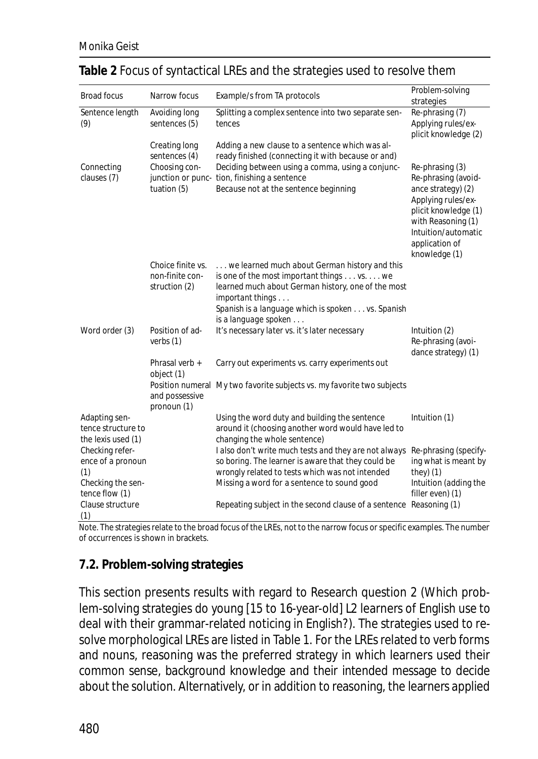| <b>Broad focus</b>                                      | Narrow focus                   |                                                                                                             | Problem-solving                               |
|---------------------------------------------------------|--------------------------------|-------------------------------------------------------------------------------------------------------------|-----------------------------------------------|
|                                                         |                                | Example/s from TA protocols                                                                                 | strategies                                    |
| Sentence length<br>(9)                                  | Avoiding long<br>sentences (5) | Splitting a complex sentence into two separate sen-                                                         | Re-phrasing (7)                               |
|                                                         |                                | tences                                                                                                      | Applying rules/ex-                            |
|                                                         |                                |                                                                                                             | plicit knowledge (2)                          |
|                                                         | Creating long                  | Adding a new clause to a sentence which was al-                                                             |                                               |
|                                                         | sentences (4)                  | ready finished (connecting it with because or and)                                                          |                                               |
| Connecting                                              | Choosing con-                  | Deciding between using a comma, using a conjunc-                                                            | Re-phrasing (3)                               |
| clauses (7)                                             |                                | junction or punc- tion, finishing a sentence                                                                | Re-phrasing (avoid-                           |
|                                                         | tuation (5)                    | Because not at the sentence beginning                                                                       | ance strategy) (2)                            |
|                                                         |                                |                                                                                                             | Applying rules/ex-<br>plicit knowledge (1)    |
|                                                         |                                |                                                                                                             | with Reasoning (1)                            |
|                                                         |                                |                                                                                                             | Intuition/automatic                           |
|                                                         |                                |                                                                                                             | application of                                |
|                                                         |                                |                                                                                                             | knowledge (1)                                 |
|                                                         | Choice finite vs.              | we learned much about German history and this                                                               |                                               |
|                                                         | non-finite con-                | is one of the most important things vs. we                                                                  |                                               |
|                                                         | struction (2)                  | learned much about German history, one of the most                                                          |                                               |
|                                                         |                                | important things                                                                                            |                                               |
|                                                         |                                | Spanish is a language which is spoken vs. Spanish                                                           |                                               |
|                                                         | Position of ad-                | is a language spoken                                                                                        |                                               |
| Word order (3)                                          | verbs $(1)$                    | It's necessary later vs. it's later necessary                                                               | Intuition (2)<br>Re-phrasing (avoi-           |
|                                                         |                                |                                                                                                             | dance strategy) (1)                           |
|                                                         | Phrasal verb +                 | Carry out experiments vs. carry experiments out                                                             |                                               |
|                                                         | object (1)                     |                                                                                                             |                                               |
|                                                         |                                | Position numeral My two favorite subjects vs. my favorite two subjects                                      |                                               |
|                                                         | and possessive                 |                                                                                                             |                                               |
|                                                         | pronoun (1)                    |                                                                                                             |                                               |
| Adapting sen-                                           |                                | Using the word <i>duty</i> and building the sentence                                                        | Intuition (1)                                 |
| tence structure to                                      |                                | around it (choosing another word would have led to                                                          |                                               |
| the lexis used (1)                                      |                                | changing the whole sentence)                                                                                |                                               |
| Checking refer-<br>ence of a pronoun                    |                                | I also don't write much tests and they are not always<br>so boring. The learner is aware that they could be | Re-phrasing (specify-<br>ing what is meant by |
| (1)                                                     |                                | wrongly related to tests which was not intended                                                             | $they)$ (1)                                   |
| Checking the sen-<br>tence flow (1)<br>Clause structure |                                | Missing a word for a sentence to sound good                                                                 | Intuition (adding the                         |
|                                                         |                                |                                                                                                             | filler even) (1)                              |
|                                                         |                                | Repeating subject in the second clause of a sentence Reasoning (1)                                          |                                               |
| (1)                                                     |                                |                                                                                                             |                                               |

#### **Table 2** Focus of syntactical LREs and the strategies used to resolve them

*Note.* The strategies relate to the broad focus of the LREs, not to the narrow focus or specific examples. The number of occurrences is shown in brackets.

## **7.2. Problem-solving strategies**

This section presents results with regard to Research question 2 (Which problem-solving strategies do young [15 to 16-year-old] L2 learners of English use to deal with their grammar-related noticing in English?). The strategies used to resolve morphological LREs are listed in Table 1. For the LREs related to verb forms and nouns, reasoning was the preferred strategy in which learners used their common sense, background knowledge and their intended message to decide about the solution. Alternatively, or in addition to reasoning, the learners applied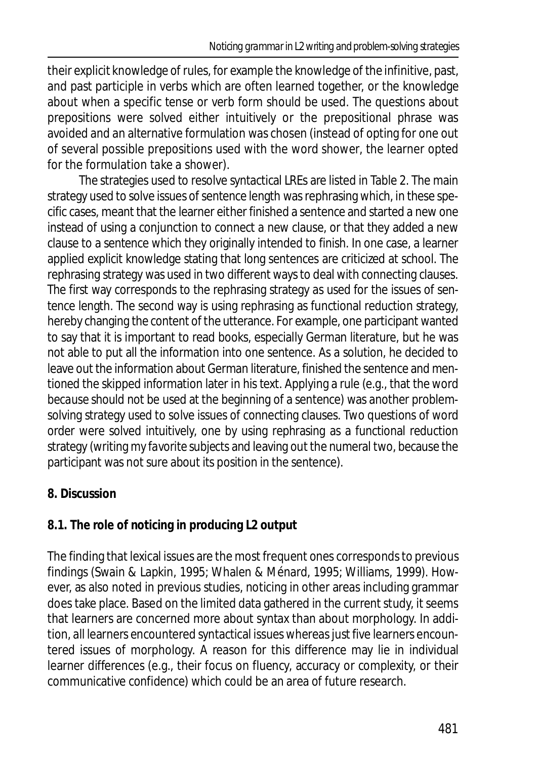their explicit knowledge of rules, for example the knowledge of the infinitive, past, and past participle in verbs which are often learned together, or the knowledge about when a specific tense or verb form should be used. The questions about prepositions were solved either intuitively or the prepositional phrase was avoided and an alternative formulation was chosen (instead of opting for one out of several possible prepositions used with the word *shower*, the learner opted for the formulation *take a shower*).

The strategies used to resolve syntactical LREs are listed in Table 2. The main strategy used to solve issues of sentence length was rephrasing which, in these specific cases, meant that the learner either finished a sentence and started a new one instead of using a conjunction to connect a new clause, or that they added a new clause to a sentence which they originally intended to finish. In one case, a learner applied explicit knowledge stating that long sentences are criticized at school. The rephrasing strategy was used in two different ways to deal with connecting clauses. The first way corresponds to the rephrasing strategy as used for the issues of sentence length. The second way is using rephrasing as functional reduction strategy, hereby changing the content of the utterance. For example, one participant wanted to say that it is important to read books, especially German literature, but he was not able to put all the information into one sentence. As a solution, he decided to leave out the information about German literature, finished the sentence and mentioned the skipped information later in his text. Applying a rule (e.g., that the word *because* should not be used at the beginning of a sentence) was another problemsolving strategy used to solve issues of connecting clauses. Two questions of word order were solved intuitively, one by using rephrasing as a functional reduction strategy (writing *my favorite subjects* and leaving out the numeral *two*, because the participant was not sure about its position in the sentence).

# **8. Discussion**

# **8.1. The role of noticing in producing L2 output**

The finding that lexical issues are the most frequent ones corresponds to previous findings (Swain & Lapkin, 1995; Whalen & Ménard, 1995; Williams, 1999). However, as also noted in previous studies, noticing in other areas including grammar does take place. Based on the limited data gathered in the current study, it seems that learners are concerned more about syntax than about morphology. In addition, all learners encountered syntactical issues whereas just five learners encountered issues of morphology. A reason for this difference may lie in individual learner differences (e.g., their focus on fluency, accuracy or complexity, or their communicative confidence) which could be an area of future research.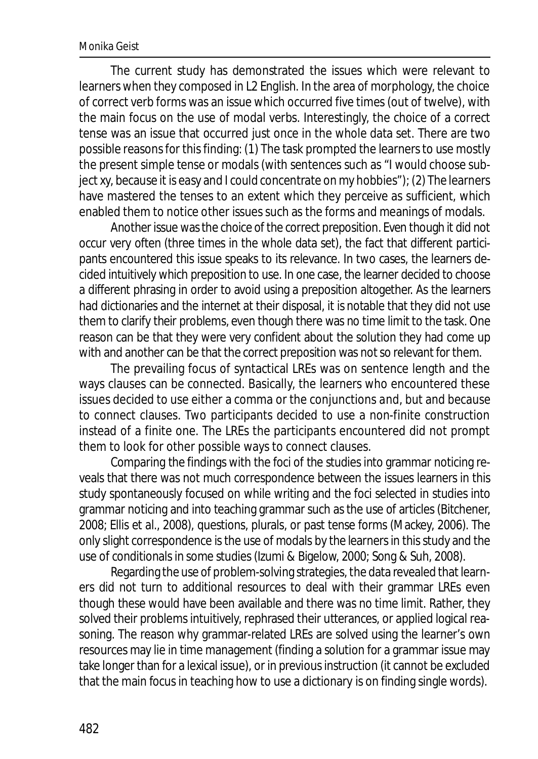#### Monika Geist

The current study has demonstrated the issues which were relevant to learners when they composed in L2 English. In the area of morphology, the choice of correct verb forms was an issue which occurred five times (out of twelve), with the main focus on the use of modal verbs. Interestingly, the choice of a correct tense was an issue that occurred just once in the whole data set. There are two possible reasons for this finding: (1) The task prompted the learners to use mostly the present simple tense or modals (with sentences such as "I would choose subject xy, because it is easy and I could concentrate on my hobbies"); (2) The learners have mastered the tenses to an extent which they perceive as sufficient, which enabled them to notice other issues such as the forms and meanings of modals.

Another issue was the choice of the correct preposition. Even though it did not occur very often (three times in the whole data set), the fact that different participants encountered this issue speaks to its relevance. In two cases, the learners decided intuitively which preposition to use. In one case, the learner decided to choose a different phrasing in order to avoid using a preposition altogether. As the learners had dictionaries and the internet at their disposal, it is notable that they did not use them to clarify their problems, even though there was no time limit to the task. One reason can be that they were very confident about the solution they had come up with and another can be that the correct preposition was not so relevant for them.

The prevailing focus of syntactical LREs was on sentence length and the ways clauses can be connected. Basically, the learners who encountered these issues decided to use either a comma or the conjunctions *and*, *but* and *because* to connect clauses. Two participants decided to use a non-finite construction instead of a finite one. The LREs the participants encountered did not prompt them to look for other possible ways to connect clauses.

Comparing the findings with the foci of the studies into grammar noticing reveals that there was not much correspondence between the issues learners in this study spontaneously focused on while writing and the foci selected in studies into grammar noticing and into teaching grammar such as the use of articles (Bitchener, 2008; Ellis et al., 2008), questions, plurals, or past tense forms (Mackey, 2006). The only slight correspondence is the use of modals by the learners in this study and the use of conditionals in some studies (Izumi & Bigelow, 2000; Song & Suh, 2008).

Regarding the use of problem-solving strategies, the data revealed that learners did not turn to additional resources to deal with their grammar LREs even though these would have been available and there was no time limit. Rather, they solved their problems intuitively, rephrased their utterances, or applied logical reasoning. The reason why grammar-related LREs are solved using the learner's own resources may lie in time management (finding a solution for a grammar issue may take longer than for a lexical issue), or in previous instruction (it cannot be excluded that the main focus in teaching how to use a dictionary is on finding single words).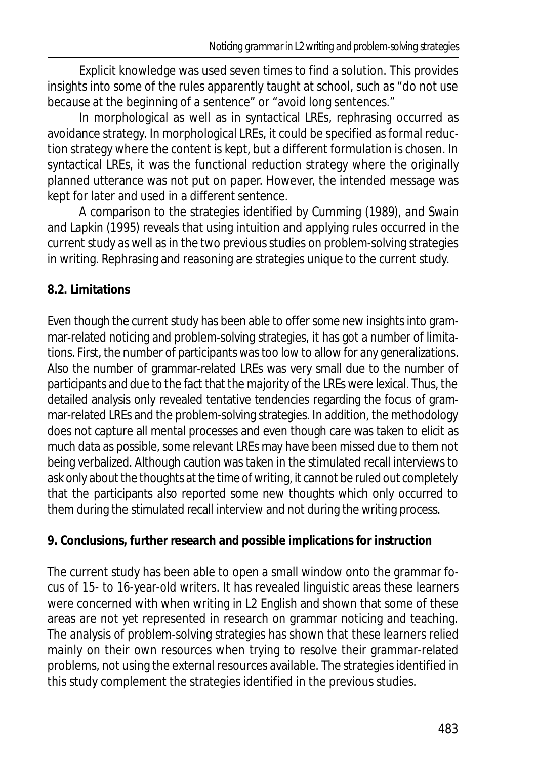Explicit knowledge was used seven times to find a solution. This provides insights into some of the rules apparently taught at school, such as "do not use *because* at the beginning of a sentence" or "avoid long sentences."

In morphological as well as in syntactical LREs, rephrasing occurred as avoidance strategy. In morphological LREs, it could be specified as formal reduction strategy where the content is kept, but a different formulation is chosen. In syntactical LREs, it was the functional reduction strategy where the originally planned utterance was not put on paper. However, the intended message was kept for later and used in a different sentence.

A comparison to the strategies identified by Cumming (1989), and Swain and Lapkin (1995) reveals that using intuition and applying rules occurred in the current study as well as in the two previous studies on problem-solving strategies in writing. Rephrasing and reasoning are strategies unique to the current study.

# **8.2. Limitations**

Even though the current study has been able to offer some new insights into grammar-related noticing and problem-solving strategies, it has got a number of limitations. First, the number of participants was too low to allow for any generalizations. Also the number of grammar-related LREs was very small due to the number of participants and due to the fact that the majority of the LREs were lexical. Thus, the detailed analysis only revealed tentative tendencies regarding the focus of grammar-related LREs and the problem-solving strategies. In addition, the methodology does not capture all mental processes and even though care was taken to elicit as much data as possible, some relevant LREs may have been missed due to them not being verbalized. Although caution was taken in the stimulated recall interviews to ask only about the thoughts at the time of writing, it cannot be ruled out completely that the participants also reported some new thoughts which only occurred to them during the stimulated recall interview and not during the writing process.

# **9. Conclusions, further research and possible implications for instruction**

The current study has been able to open a small window onto the grammar focus of 15- to 16-year-old writers. It has revealed linguistic areas these learners were concerned with when writing in L2 English and shown that some of these areas are not yet represented in research on grammar noticing and teaching. The analysis of problem-solving strategies has shown that these learners relied mainly on their own resources when trying to resolve their grammar-related problems, not using the external resources available. The strategies identified in this study complement the strategies identified in the previous studies.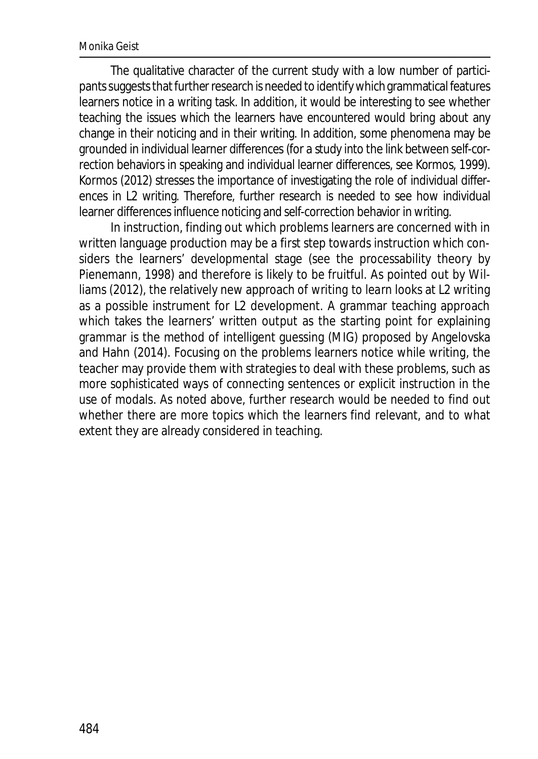#### Monika Geist

The qualitative character of the current study with a low number of participants suggests that further research is needed to identify which grammatical features learners notice in a writing task. In addition, it would be interesting to see whether teaching the issues which the learners have encountered would bring about any change in their noticing and in their writing. In addition, some phenomena may be grounded in individual learner differences (for a study into the link between self-correction behaviors in speaking and individual learner differences, see Kormos, 1999). Kormos (2012) stresses the importance of investigating the role of individual differences in L2 writing. Therefore, further research is needed to see how individual learner differences influence noticing and self-correction behavior in writing.

In instruction, finding out which problems learners are concerned with in written language production may be a first step towards instruction which considers the learners' developmental stage (see the processability theory by Pienemann, 1998) and therefore is likely to be fruitful. As pointed out by Williams (2012), the relatively new approach of *writing to learn* looks at L2 writing as a possible instrument for L2 development. A grammar teaching approach which takes the learners' written output as the starting point for explaining grammar is the method of intelligent guessing (MIG) proposed by Angelovska and Hahn (2014). Focusing on the problems learners notice while writing, the teacher may provide them with strategies to deal with these problems, such as more sophisticated ways of connecting sentences or explicit instruction in the use of modals. As noted above, further research would be needed to find out whether there are more topics which the learners find relevant, and to what extent they are already considered in teaching.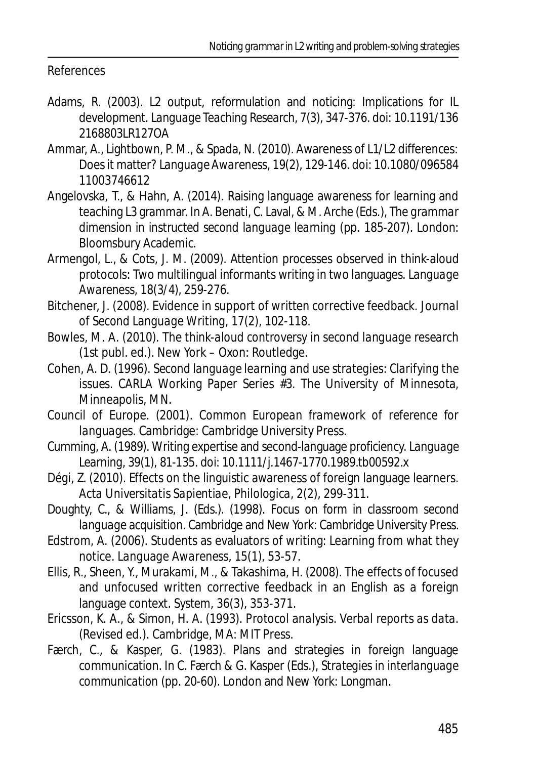#### References

- Adams, R. (2003). L2 output, reformulation and noticing: Implications for IL development. *Language Teaching Research, 7*(3), 347-376. doi: 10.1191/136 2168803LR127OA
- Ammar, A., Lightbown, P. M., & Spada, N. (2010). Awareness of L1/L2 differences: Does it matter? *Language Awareness, 19*(2), 129-146. doi: 10.1080/096584 11003746612
- Angelovska, T., & Hahn, A. (2014). Raising language awareness for learning and teaching L3 grammar. In A. Benati, C. Laval, & M. Arche (Eds.), *The grammar dimension in instructed second language learning* (pp. 185-207). London: Bloomsbury Academic.
- Armengol, L., & Cots, J. M. (2009). Attention processes observed in think-aloud protocols: Two multilingual informants writing in two languages. *Language Awareness, 18*(3/4), 259-276.
- Bitchener, J. (2008). Evidence in support of written corrective feedback. *Journal of Second Language Writing, 17*(2), 102-118.
- Bowles, M. A. (2010). *The think-aloud controversy in second language research* (1st publ. ed.). New York – Oxon: Routledge.
- Cohen, A. D. (1996). *Second language learning and use strategies: Clarifying the issues*. CARLA Working Paper Series #3. The University of Minnesota, Minneapolis, MN.
- Council of Europe. (2001). *Common European framework of reference for languages*. Cambridge: Cambridge University Press.
- Cumming, A. (1989). Writing expertise and second-language proficiency. *Language Learning, 39*(1), 81-135. doi: 10.1111/j.1467-1770.1989.tb00592.x
- Dégi, Z. (2010). Effects on the linguistic awareness of foreign language learners. *Acta Universitatis Sapientiae, Philologica, 2*(2), 299-311.
- Doughty, C., & Williams, J. (Eds.). (1998). *Focus on form in classroom second language acquisition*. Cambridge and New York: Cambridge University Press.
- Edstrom, A. (2006). Students as evaluators of writing: Learning from what they notice. *Language Awareness, 15*(1), 53-57.
- Ellis, R., Sheen, Y., Murakami, M., & Takashima, H. (2008). The effects of focused and unfocused written corrective feedback in an English as a foreign language context. *System, 36*(3), 353-371.
- Ericsson, K. A., & Simon, H. A. (1993). *Protocol analysis. Verbal reports as data.* (Revised ed.). Cambridge, MA: MIT Press.
- Færch, C., & Kasper, G. (1983). Plans and strategies in foreign language communication. In C. Færch & G. Kasper (Eds.), *Strategies in interlanguage communication* (pp. 20-60). London and New York: Longman.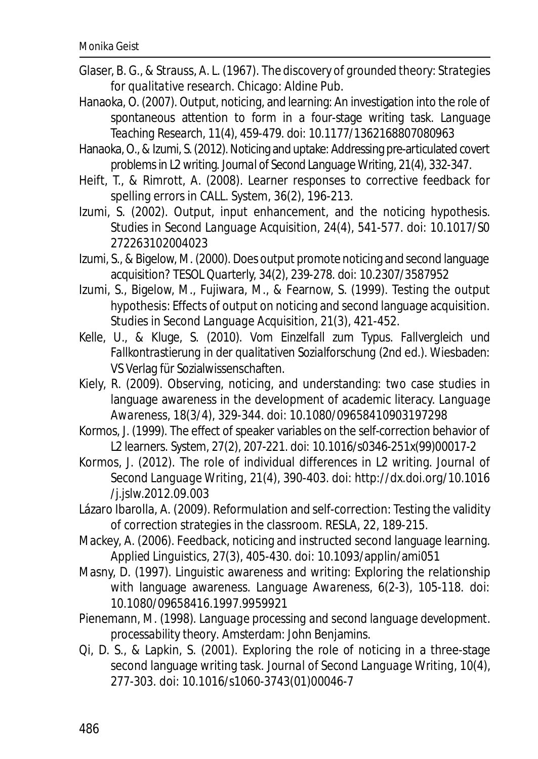- Glaser, B. G., & Strauss, A. L. (1967). *The discovery of grounded theory: Strategies for qualitative research*. Chicago: Aldine Pub.
- Hanaoka, O. (2007). Output, noticing, and learning: An investigation into the role of spontaneous attention to form in a four-stage writing task. *Language Teaching Research, 11*(4), 459-479. doi: 10.1177/1362168807080963
- Hanaoka, O., & Izumi, S. (2012). Noticing and uptake: Addressing pre-articulated covert problems in L2 writing. *Journal of Second Language Writing, 21*(4), 332-347.
- Heift, T., & Rimrott, A. (2008). Learner responses to corrective feedback for spelling errors in CALL. *System, 36*(2), 196-213.
- Izumi, S. (2002). Output, input enhancement, and the noticing hypothesis. *Studies in Second Language Acquisition, 24*(4), 541-577. doi: 10.1017/S0 272263102004023
- Izumi, S., & Bigelow, M. (2000). Does output promote noticing and second language acquisition? *TESOL Quarterly, 34*(2), 239-278. doi: 10.2307/3587952
- Izumi, S., Bigelow, M., Fujiwara, M., & Fearnow, S. (1999). Testing the output hypothesis: Effects of output on noticing and second language acquisition. *Studies in Second Language Acquisition, 21*(3), 421-452.
- Kelle, U., & Kluge, S. (2010). *Vom Einzelfall zum Typus. Fallvergleich und Fallkontrastierung in der qualitativen Sozialforschung* (2nd ed.). Wiesbaden: VS Verlag für Sozialwissenschaften.
- Kiely, R. (2009). Observing, noticing, and understanding: two case studies in language awareness in the development of academic literacy. *Language Awareness, 18*(3/4), 329-344. doi: 10.1080/09658410903197298
- Kormos, J. (1999). The effect of speaker variables on the self-correction behavior of L2 learners. *System, 27*(2), 207-221. doi: 10.1016/s0346-251x(99)00017-2
- Kormos, J. (2012). The role of individual differences in L2 writing. *Journal of Second Language Writing, 21*(4), 390-403. doi: http://dx.doi.org/10.1016 /j.jslw.2012.09.003
- Lázaro Ibarolla, A. (2009). Reformulation and self-correction: Testing the validity of correction strategies in the classroom. *RESLA, 22*, 189-215.
- Mackey, A. (2006). Feedback, noticing and instructed second language learning. *Applied Linguistics, 27*(3), 405-430. doi: 10.1093/applin/ami051
- Masny, D. (1997). Linguistic awareness and writing: Exploring the relationship with language awareness. *Language Awareness, 6*(2-3), 105-118. doi: 10.1080/09658416.1997.9959921
- Pienemann, M. (1998). *Language processing and second language development. processability theory*. Amsterdam: John Benjamins.
- Qi, D. S., & Lapkin, S. (2001). Exploring the role of noticing in a three-stage second language writing task. *Journal of Second Language Writing, 10*(4), 277-303. doi: 10.1016/s1060-3743(01)00046-7